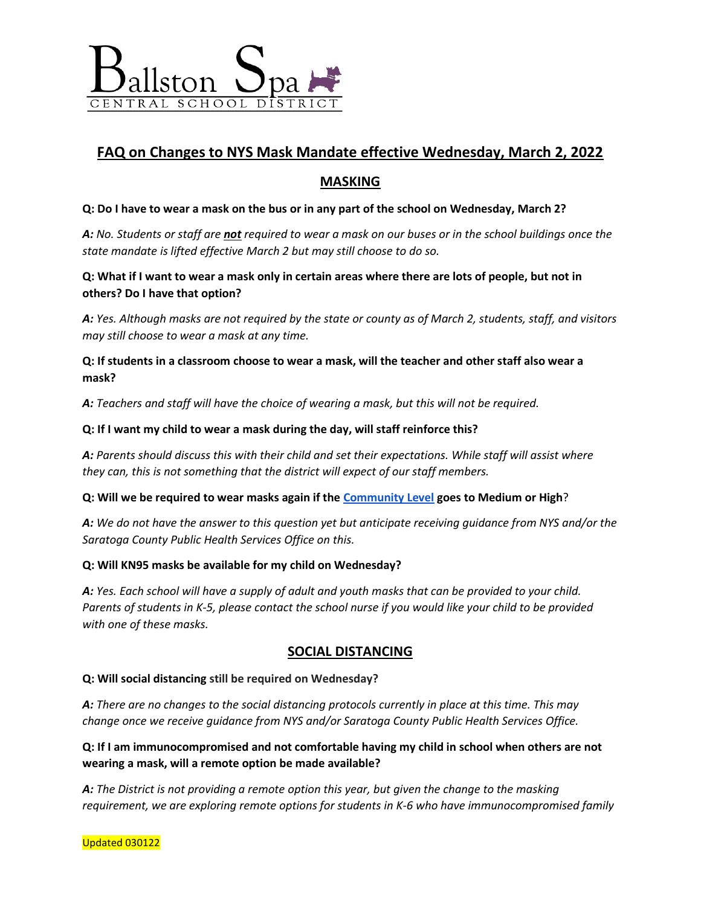

# **FAQ on Changes to NYS Mask Mandate effective Wednesday, March 2, 2022**

# **MASKING**

#### **Q: Do I have to wear a mask on the bus or in any part of the school on Wednesday, March 2?**

*A: No. Students or staff are not required to wear a mask on our buses or in the school buildings once the state mandate is lifted effective March 2 but may still choose to do so.* 

## **Q: What if I want to wear a mask only in certain areas where there are lots of people, but not in others? Do I have that option?**

*A: Yes. Although masks are not required by the state or county as of March 2, students, staff, and visitors may still choose to wear a mask at any time.* 

**Q: If students in a classroom choose to wear a mask, will the teacher and other staff also wear a mask?**

*A: Teachers and staff will have the choice of wearing a mask, but this will not be required.* 

#### **Q: If I want my child to wear a mask during the day, will staff reinforce this?**

*A: Parents should discuss this with their child and set their expectations. While staff will assist where they can, this is not something that the district will expect of our staff members.* 

**Q: Will we be required to wear masks again if the [Community Level](https://www.cdc.gov/coronavirus/2019-ncov/your-health/covid-by-county.html) goes to Medium or High**?

*A: We do not have the answer to this question yet but anticipate receiving guidance from NYS and/or the Saratoga County Public Health Services Office on this.* 

#### **Q: Will KN95 masks be available for my child on Wednesday?**

*A: Yes. Each school will have a supply of adult and youth masks that can be provided to your child. Parents of students in K-5, please contact the school nurse if you would like your child to be provided with one of these masks.* 

## **SOCIAL DISTANCING**

#### **Q: Will social distancing still be required on Wednesday?**

*A: There are no changes to the social distancing protocols currently in place at this time. This may change once we receive guidance from NYS and/or Saratoga County Public Health Services Office.* 

**Q: If I am immunocompromised and not comfortable having my child in school when others are not wearing a mask, will a remote option be made available?**

*A: The District is not providing a remote option this year, but given the change to the masking requirement, we are exploring remote options for students in K-6 who have immunocompromised family*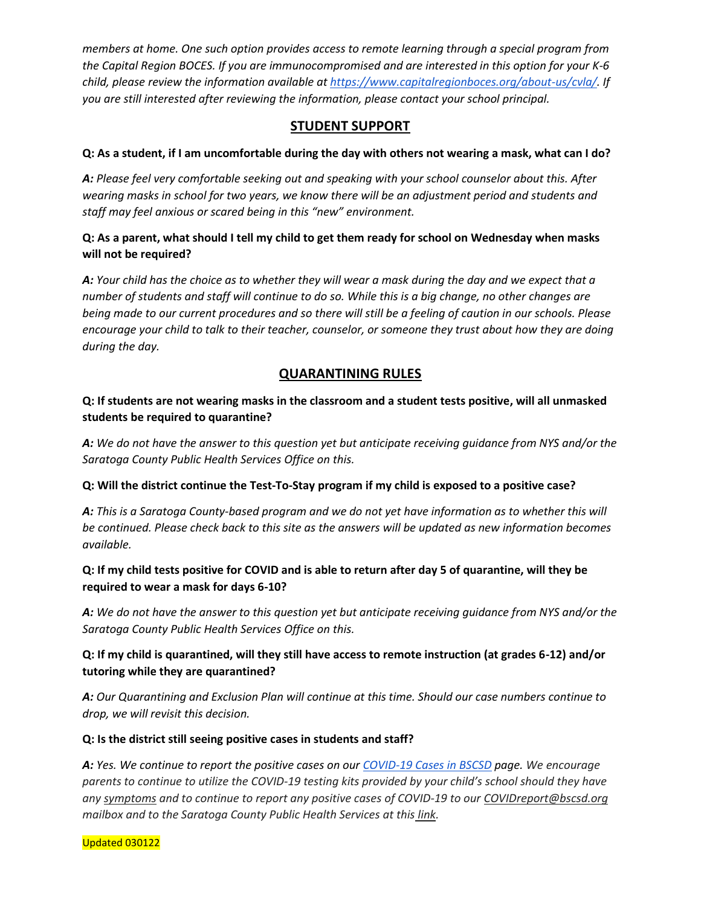*members at home. One such option provides access to remote learning through a special program from the Capital Region BOCES. If you are immunocompromised and are interested in this option for your K-6 child, please review the information available a[t https://www.capitalregionboces.org/about-us/cvla/.](https://www.capitalregionboces.org/about-us/cvla/) If you are still interested after reviewing the information, please contact your school principal.*

## **STUDENT SUPPORT**

## **Q: As a student, if I am uncomfortable during the day with others not wearing a mask, what can I do?**

*A: Please feel very comfortable seeking out and speaking with your school counselor about this. After wearing masks in school for two years, we know there will be an adjustment period and students and staff may feel anxious or scared being in this "new" environment.* 

## **Q: As a parent, what should I tell my child to get them ready for school on Wednesday when masks will not be required?**

*A: Your child has the choice as to whether they will wear a mask during the day and we expect that a number of students and staff will continue to do so. While this is a big change, no other changes are being made to our current procedures and so there will still be a feeling of caution in our schools. Please encourage your child to talk to their teacher, counselor, or someone they trust about how they are doing during the day.* 

# **QUARANTINING RULES**

## **Q: If students are not wearing masks in the classroom and a student tests positive, will all unmasked students be required to quarantine?**

*A: We do not have the answer to this question yet but anticipate receiving guidance from NYS and/or the Saratoga County Public Health Services Office on this.*

## **Q: Will the district continue the Test-To-Stay program if my child is exposed to a positive case?**

*A: This is a Saratoga County-based program and we do not yet have information as to whether this will be continued. Please check back to this site as the answers will be updated as new information becomes available.* 

## **Q: If my child tests positive for COVID and is able to return after day 5 of quarantine, will they be required to wear a mask for days 6-10?**

*A: We do not have the answer to this question yet but anticipate receiving guidance from NYS and/or the Saratoga County Public Health Services Office on this.* 

## **Q: If my child is quarantined, will they still have access to remote instruction (at grades 6-12) and/or tutoring while they are quarantined?**

*A: Our Quarantining and Exclusion Plan will continue at this time. Should our case numbers continue to drop, we will revisit this decision.* 

## **Q: Is the district still seeing positive cases in students and staff?**

*A: Yes. We continue to report the positive cases on our [COVID-19 Cases in BSCSD](https://www.bscsd.org/Page/13242) page. We encourage parents to continue to utilize the COVID-19 testing kits provided by your child's school should they have an[y symptoms](https://www.cdc.gov/coronavirus/2019-ncov/symptoms-testing/symptoms.html) and to continue to report any positive cases of COVID-19 to our COVIDreport@bscsd.org mailbox and to the Saratoga County Public Health Services at this [link.](https://www.saratogacountyny.gov/departments/publichealth/covid19/isolationaffirmation2/)* 

Updated 030122